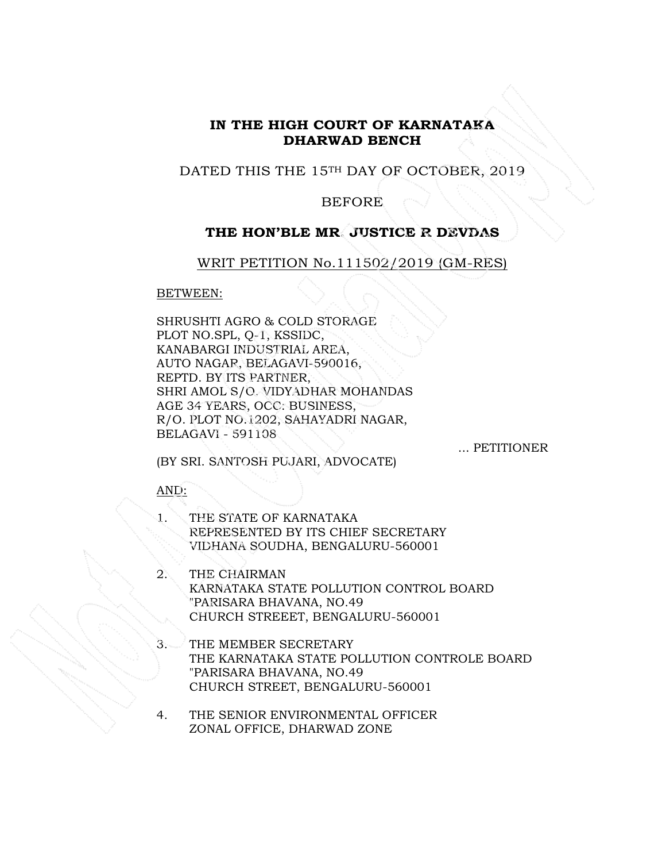## **IN THE HIGH COURT OF KARNATAKA DHARWAD BENCH**

## DATED THIS THE 15<sup>TH</sup> DAY OF OCTOBER, 2019

### BEFORE

## **THE HON'BLE MR. JUSTICE R DEVDAS**

WRIT PETITION No.111502/2019 (GM-RES)

BETWEEN:

SHRUSHTI AGRO & COLD STORAGE PLOT NO.SPL, Q-1, KSSIDC, KANABARGI INDUSTRIAL AREA, AUTO NAGAR, BELAGAVI-590016, REPTD. BY ITS PARTNER, SHRI AMOL S/O. VIDYADHAR MOHANDAS AGE 34 YEARS, OCC: BUSINESS, R/O. PLOT NO.1202, SAHAYADRI NAGAR, BELAGAVI - 591108

... PETITIONER

(BY SRI. SANTOSH PUJARI, ADVOCATE)

### AND:

- THE STATE OF KARNATAKA REPRESENTED BY ITS CHIEF SECRETARY VIDHANA SOUDHA, BENGALURU-560001
- 2. THE CHAIRMAN KARNATAKA STATE POLLUTION CONTROL BOARD "PARISARA BHAVANA, NO.49 CHURCH STREEET, BENGALURU-560001
- 3. THE MEMBER SECRETARY THE KARNATAKA STATE POLLUTION CONTROLE BOARD "PARISARA BHAVANA, NO.49 CHURCH STREET, BENGALURU-560001
- 4. THE SENIOR ENVIRONMENTAL OFFICER ZONAL OFFICE, DHARWAD ZONE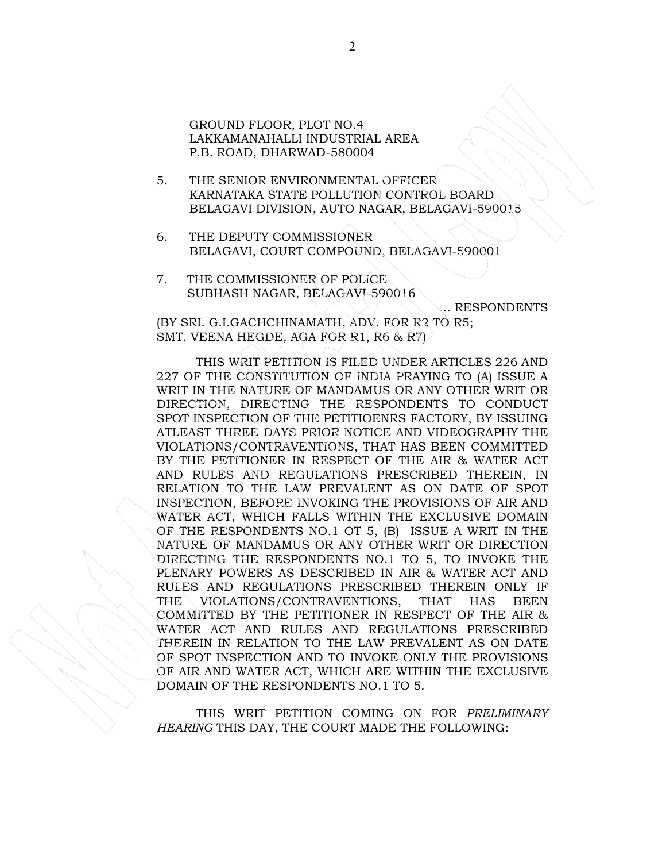GROUND FLOOR, PLOT NO.4 LAKKAMANAHALLI INDUSTRIAL AREA P.B. ROAD, DHARWAD-580004

- 5. THE SENIOR ENVIRONMENTAL OFFICER KARNATAKA STATE POLLUTION CONTROL BOARD BELAGAVI DIVISION, AUTO NAGAR, BELAGAVI-590015
- 6. THE DEPUTY COMMISSIONER BELAGAVI, COURT COMPOUND, BELAGAVI-590001
- 7. THE COMMISSIONER OF POLICE SUBHASH NAGAR, BELAGAVI-590016

... RESPONDENTS

(BY SRI. G.I.GACHCHINAMATH, ADV. FOR R2 TO R5; SMT. VEENA HEGDE, AGA FOR R1, R6 & R7)

THIS WRIT PETITION IS FILED UNDER ARTICLES 226 AND 227 OF THE CONSTITUTION OF INDIA PRAYING TO (A) ISSUE A WRIT IN THE NATURE OF MANDAMUS OR ANY OTHER WRIT OR DIRECTION, DIRECTING THE RESPONDENTS TO CONDUCT SPOT INSPECTION OF THE PETITIOENRS FACTORY, BY ISSUING ATLEAST THREE DAYS PRIOR NOTICE AND VIDEOGRAPHY THE VIOLATIONS/CONTRAVENTIONS, THAT HAS BEEN COMMITTED BY THE PETITIONER IN RESPECT OF THE AIR & WATER ACT AND RULES AND REGULATIONS PRESCRIBED THEREIN, IN RELATION TO THE LAW PREVALENT AS ON DATE OF SPOT INSPECTION, BEFORE INVOKING THE PROVISIONS OF AIR AND WATER ACT, WHICH FALLS WITHIN THE EXCLUSIVE DOMAIN OF THE RESPONDENTS NO.1 OT 5, (B) ISSUE A WRIT IN THE NATURE OF MANDAMUS OR ANY OTHER WRIT OR DIRECTION DIRECTING THE RESPONDENTS NO.1 TO 5, TO INVOKE THE PLENARY POWERS AS DESCRIBED IN AIR & WATER ACT AND RULES AND REGULATIONS PRESCRIBED THEREIN ONLY IF THE VIOLATIONS/CONTRAVENTIONS, THAT HAS BEEN COMMITTED BY THE PETITIONER IN RESPECT OF THE AIR & WATER ACT AND RULES AND REGULATIONS PRESCRIBED THEREIN IN RELATION TO THE LAW PREVALENT AS ON DATE OF SPOT INSPECTION AND TO INVOKE ONLY THE PROVISIONS OF AIR AND WATER ACT, WHICH ARE WITHIN THE EXCLUSIVE DOMAIN OF THE RESPONDENTS NO.1 TO 5.

THIS WRIT PETITION COMING ON FOR *PRELIMINARY HEARING* THIS DAY, THE COURT MADE THE FOLLOWING: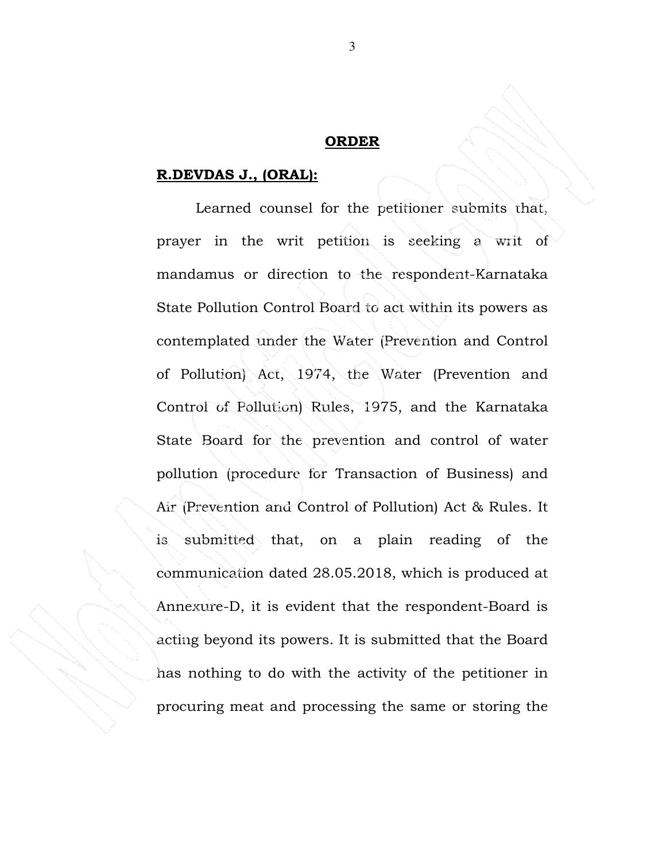### **ORDER**

# **R.DEVDAS J., (ORAL):**

 Learned counsel for the petitioner submits that, prayer in the writ petition is seeking a writ of mandamus or direction to the respondent-Karnataka State Pollution Control Board to act within its powers as contemplated under the Water (Prevention and Control of Pollution) Act, 1974, the Water (Prevention and Control of Pollution) Rules, 1975, and the Karnataka State Board for the prevention and control of water pollution (procedure for Transaction of Business) and Air (Prevention and Control of Pollution) Act & Rules. It is submitted that, on a plain reading of the communication dated 28.05.2018, which is produced at Annexure-D, it is evident that the respondent-Board is acting beyond its powers. It is submitted that the Board has nothing to do with the activity of the petitioner in procuring meat and processing the same or storing the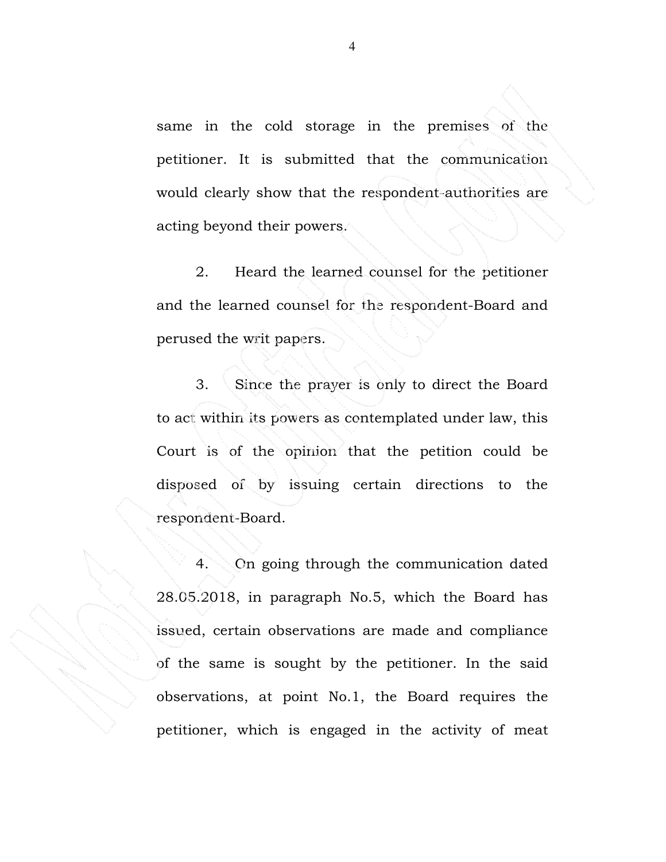same in the cold storage in the premises of the petitioner. It is submitted that the communication would clearly show that the respondent-authorities are acting beyond their powers.

2. Heard the learned counsel for the petitioner and the learned counsel for the respondent-Board and perused the writ papers.

3. Since the prayer is only to direct the Board to act within its powers as contemplated under law, this Court is of the opinion that the petition could be disposed of by issuing certain directions to the respondent-Board.

4. On going through the communication dated 28.05.2018, in paragraph No.5, which the Board has issued, certain observations are made and compliance of the same is sought by the petitioner. In the said observations, at point No.1, the Board requires the petitioner, which is engaged in the activity of meat